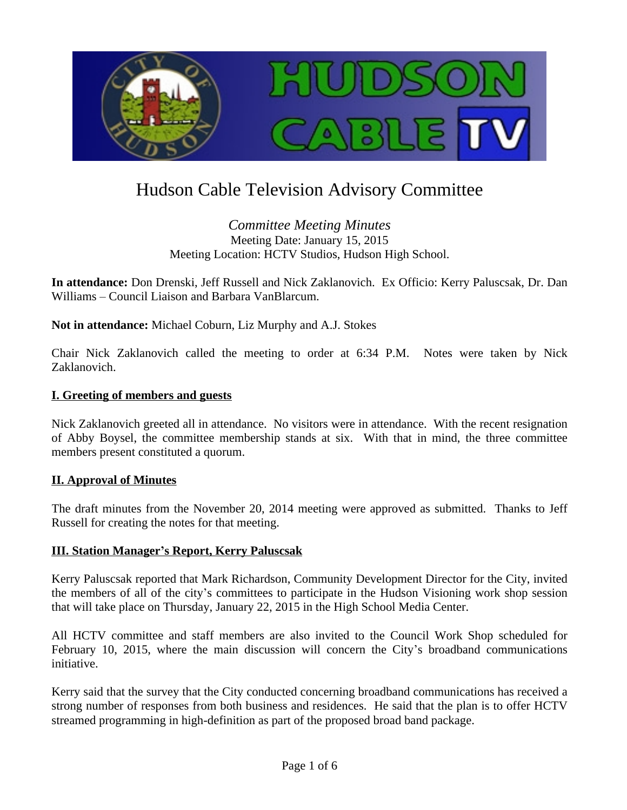

# Hudson Cable Television Advisory Committee

## *Committee Meeting Minutes* Meeting Date: January 15, 2015 Meeting Location: HCTV Studios, Hudson High School.

**In attendance:** Don Drenski, Jeff Russell and Nick Zaklanovich. Ex Officio: Kerry Paluscsak, Dr. Dan Williams – Council Liaison and Barbara VanBlarcum.

**Not in attendance:** Michael Coburn, Liz Murphy and A.J. Stokes

Chair Nick Zaklanovich called the meeting to order at 6:34 P.M. Notes were taken by Nick Zaklanovich.

## **I. Greeting of members and guests**

Nick Zaklanovich greeted all in attendance. No visitors were in attendance. With the recent resignation of Abby Boysel, the committee membership stands at six. With that in mind, the three committee members present constituted a quorum.

#### **II. Approval of Minutes**

The draft minutes from the November 20, 2014 meeting were approved as submitted. Thanks to Jeff Russell for creating the notes for that meeting.

#### **III. Station Manager's Report, Kerry Paluscsak**

Kerry Paluscsak reported that Mark Richardson, Community Development Director for the City, invited the members of all of the city's committees to participate in the Hudson Visioning work shop session that will take place on Thursday, January 22, 2015 in the High School Media Center.

All HCTV committee and staff members are also invited to the Council Work Shop scheduled for February 10, 2015, where the main discussion will concern the City's broadband communications initiative.

Kerry said that the survey that the City conducted concerning broadband communications has received a strong number of responses from both business and residences. He said that the plan is to offer HCTV streamed programming in high-definition as part of the proposed broad band package.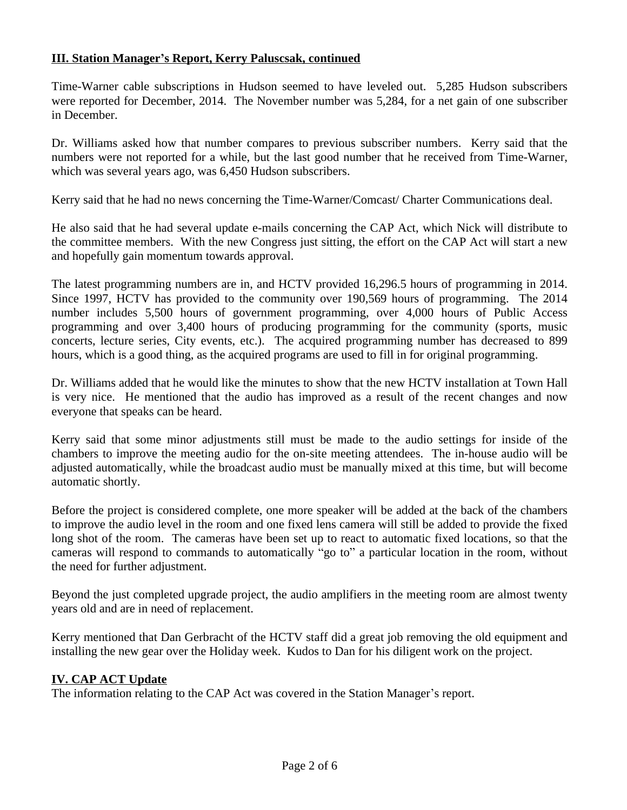## **III. Station Manager's Report, Kerry Paluscsak, continued**

Time-Warner cable subscriptions in Hudson seemed to have leveled out. 5,285 Hudson subscribers were reported for December, 2014. The November number was 5,284, for a net gain of one subscriber in December.

Dr. Williams asked how that number compares to previous subscriber numbers. Kerry said that the numbers were not reported for a while, but the last good number that he received from Time-Warner, which was several years ago, was 6,450 Hudson subscribers.

Kerry said that he had no news concerning the Time-Warner/Comcast/ Charter Communications deal.

He also said that he had several update e-mails concerning the CAP Act, which Nick will distribute to the committee members. With the new Congress just sitting, the effort on the CAP Act will start a new and hopefully gain momentum towards approval.

The latest programming numbers are in, and HCTV provided 16,296.5 hours of programming in 2014. Since 1997, HCTV has provided to the community over 190,569 hours of programming. The 2014 number includes 5,500 hours of government programming, over 4,000 hours of Public Access programming and over 3,400 hours of producing programming for the community (sports, music concerts, lecture series, City events, etc.). The acquired programming number has decreased to 899 hours, which is a good thing, as the acquired programs are used to fill in for original programming.

Dr. Williams added that he would like the minutes to show that the new HCTV installation at Town Hall is very nice. He mentioned that the audio has improved as a result of the recent changes and now everyone that speaks can be heard.

Kerry said that some minor adjustments still must be made to the audio settings for inside of the chambers to improve the meeting audio for the on-site meeting attendees. The in-house audio will be adjusted automatically, while the broadcast audio must be manually mixed at this time, but will become automatic shortly.

Before the project is considered complete, one more speaker will be added at the back of the chambers to improve the audio level in the room and one fixed lens camera will still be added to provide the fixed long shot of the room. The cameras have been set up to react to automatic fixed locations, so that the cameras will respond to commands to automatically "go to" a particular location in the room, without the need for further adjustment.

Beyond the just completed upgrade project, the audio amplifiers in the meeting room are almost twenty years old and are in need of replacement.

Kerry mentioned that Dan Gerbracht of the HCTV staff did a great job removing the old equipment and installing the new gear over the Holiday week. Kudos to Dan for his diligent work on the project.

#### **IV. CAP ACT Update**

The information relating to the CAP Act was covered in the Station Manager's report.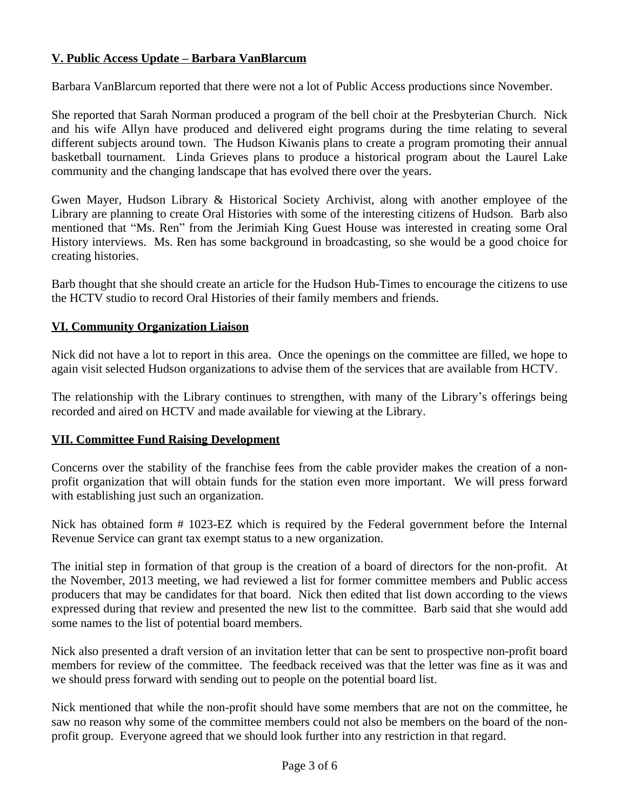# **V. Public Access Update – Barbara VanBlarcum**

Barbara VanBlarcum reported that there were not a lot of Public Access productions since November.

She reported that Sarah Norman produced a program of the bell choir at the Presbyterian Church. Nick and his wife Allyn have produced and delivered eight programs during the time relating to several different subjects around town. The Hudson Kiwanis plans to create a program promoting their annual basketball tournament. Linda Grieves plans to produce a historical program about the Laurel Lake community and the changing landscape that has evolved there over the years.

Gwen Mayer, Hudson Library & Historical Society Archivist, along with another employee of the Library are planning to create Oral Histories with some of the interesting citizens of Hudson. Barb also mentioned that "Ms. Ren" from the Jerimiah King Guest House was interested in creating some Oral History interviews. Ms. Ren has some background in broadcasting, so she would be a good choice for creating histories.

Barb thought that she should create an article for the Hudson Hub-Times to encourage the citizens to use the HCTV studio to record Oral Histories of their family members and friends.

## **VI. Community Organization Liaison**

Nick did not have a lot to report in this area. Once the openings on the committee are filled, we hope to again visit selected Hudson organizations to advise them of the services that are available from HCTV.

The relationship with the Library continues to strengthen, with many of the Library's offerings being recorded and aired on HCTV and made available for viewing at the Library.

#### **VII. Committee Fund Raising Development**

Concerns over the stability of the franchise fees from the cable provider makes the creation of a nonprofit organization that will obtain funds for the station even more important. We will press forward with establishing just such an organization.

Nick has obtained form # 1023-EZ which is required by the Federal government before the Internal Revenue Service can grant tax exempt status to a new organization.

The initial step in formation of that group is the creation of a board of directors for the non-profit. At the November, 2013 meeting, we had reviewed a list for former committee members and Public access producers that may be candidates for that board. Nick then edited that list down according to the views expressed during that review and presented the new list to the committee. Barb said that she would add some names to the list of potential board members.

Nick also presented a draft version of an invitation letter that can be sent to prospective non-profit board members for review of the committee. The feedback received was that the letter was fine as it was and we should press forward with sending out to people on the potential board list.

Nick mentioned that while the non-profit should have some members that are not on the committee, he saw no reason why some of the committee members could not also be members on the board of the nonprofit group. Everyone agreed that we should look further into any restriction in that regard.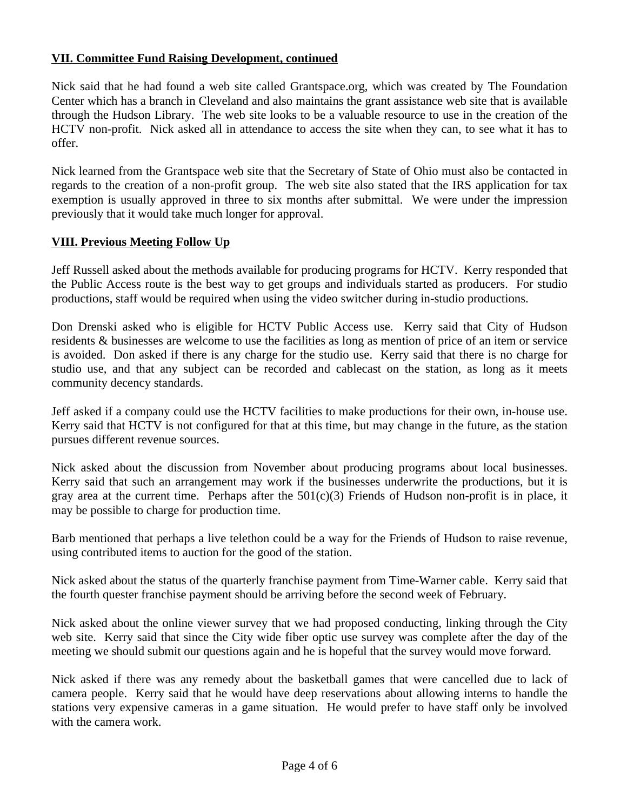## **VII. Committee Fund Raising Development, continued**

Nick said that he had found a web site called Grantspace.org, which was created by The Foundation Center which has a branch in Cleveland and also maintains the grant assistance web site that is available through the Hudson Library. The web site looks to be a valuable resource to use in the creation of the HCTV non-profit. Nick asked all in attendance to access the site when they can, to see what it has to offer.

Nick learned from the Grantspace web site that the Secretary of State of Ohio must also be contacted in regards to the creation of a non-profit group. The web site also stated that the IRS application for tax exemption is usually approved in three to six months after submittal. We were under the impression previously that it would take much longer for approval.

#### **VIII. Previous Meeting Follow Up**

Jeff Russell asked about the methods available for producing programs for HCTV. Kerry responded that the Public Access route is the best way to get groups and individuals started as producers. For studio productions, staff would be required when using the video switcher during in-studio productions.

Don Drenski asked who is eligible for HCTV Public Access use. Kerry said that City of Hudson residents & businesses are welcome to use the facilities as long as mention of price of an item or service is avoided. Don asked if there is any charge for the studio use. Kerry said that there is no charge for studio use, and that any subject can be recorded and cablecast on the station, as long as it meets community decency standards.

Jeff asked if a company could use the HCTV facilities to make productions for their own, in-house use. Kerry said that HCTV is not configured for that at this time, but may change in the future, as the station pursues different revenue sources.

Nick asked about the discussion from November about producing programs about local businesses. Kerry said that such an arrangement may work if the businesses underwrite the productions, but it is gray area at the current time. Perhaps after the  $501(c)(3)$  Friends of Hudson non-profit is in place, it may be possible to charge for production time.

Barb mentioned that perhaps a live telethon could be a way for the Friends of Hudson to raise revenue, using contributed items to auction for the good of the station.

Nick asked about the status of the quarterly franchise payment from Time-Warner cable. Kerry said that the fourth quester franchise payment should be arriving before the second week of February.

Nick asked about the online viewer survey that we had proposed conducting, linking through the City web site. Kerry said that since the City wide fiber optic use survey was complete after the day of the meeting we should submit our questions again and he is hopeful that the survey would move forward.

Nick asked if there was any remedy about the basketball games that were cancelled due to lack of camera people. Kerry said that he would have deep reservations about allowing interns to handle the stations very expensive cameras in a game situation. He would prefer to have staff only be involved with the camera work.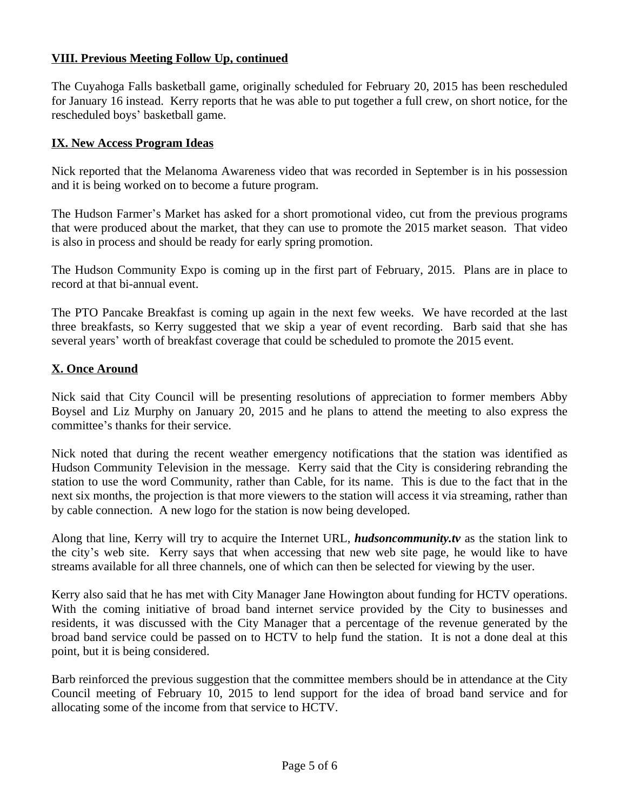## **VIII. Previous Meeting Follow Up, continued**

The Cuyahoga Falls basketball game, originally scheduled for February 20, 2015 has been rescheduled for January 16 instead. Kerry reports that he was able to put together a full crew, on short notice, for the rescheduled boys' basketball game.

#### **IX. New Access Program Ideas**

Nick reported that the Melanoma Awareness video that was recorded in September is in his possession and it is being worked on to become a future program.

The Hudson Farmer's Market has asked for a short promotional video, cut from the previous programs that were produced about the market, that they can use to promote the 2015 market season. That video is also in process and should be ready for early spring promotion.

The Hudson Community Expo is coming up in the first part of February, 2015. Plans are in place to record at that bi-annual event.

The PTO Pancake Breakfast is coming up again in the next few weeks. We have recorded at the last three breakfasts, so Kerry suggested that we skip a year of event recording. Barb said that she has several years' worth of breakfast coverage that could be scheduled to promote the 2015 event.

## **X. Once Around**

Nick said that City Council will be presenting resolutions of appreciation to former members Abby Boysel and Liz Murphy on January 20, 2015 and he plans to attend the meeting to also express the committee's thanks for their service.

Nick noted that during the recent weather emergency notifications that the station was identified as Hudson Community Television in the message. Kerry said that the City is considering rebranding the station to use the word Community, rather than Cable, for its name. This is due to the fact that in the next six months, the projection is that more viewers to the station will access it via streaming, rather than by cable connection. A new logo for the station is now being developed.

Along that line, Kerry will try to acquire the Internet URL, *hudsoncommunity.tv* as the station link to the city's web site. Kerry says that when accessing that new web site page, he would like to have streams available for all three channels, one of which can then be selected for viewing by the user.

Kerry also said that he has met with City Manager Jane Howington about funding for HCTV operations. With the coming initiative of broad band internet service provided by the City to businesses and residents, it was discussed with the City Manager that a percentage of the revenue generated by the broad band service could be passed on to HCTV to help fund the station. It is not a done deal at this point, but it is being considered.

Barb reinforced the previous suggestion that the committee members should be in attendance at the City Council meeting of February 10, 2015 to lend support for the idea of broad band service and for allocating some of the income from that service to HCTV.